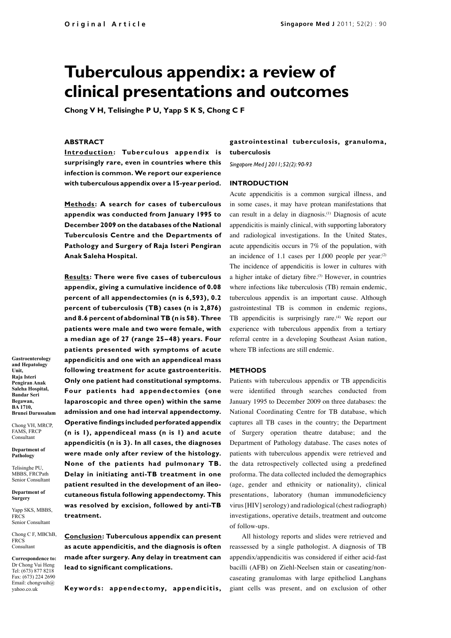# **Tuberculous appendix: a review of clinical presentations and outcomes**

**Chong V H, Telisinghe P U, Yapp S K S, Chong C F**

#### **ABSTRACT**

**Introduction:** Tuberculous appendix is **surprisingly rare, even in countries where this infection is common. We report our experience with tuberculous appendix over a 15-year period.**

**Methods : A search for cases of tuberculous appendix was conducted from January 1995 to December 2009 on the databases of the National Tuberculosis Centre and the Departments of Pathology and Surgery of Raja Isteri Pengiran Anak Saleha Hospital.** 

**Results: There were five cases of tuberculous appendix, giving a cumulative incidence of 0.08 percent of all appendectomies (n is 6,593), 0.2 percent of tuberculosis (TB) cases (n is 2,876) and 8.6 percent of abdominal TB (n is 58). Three patients were male and two were female, with a median age of 27 (range 25–48) years. Four patients presented with symptoms of acute appendicitis and one with an appendiceal mass following treatment for acute gastroenteritis. Only one patient had constitutional symptoms. Four patients had appendectomies (one laparoscopic and three open) within the same admission and one had interval appendectomy. Operative findings included perforated appendix (n is 1), appendiceal mass (n is 1) and acute appendicitis (n is 3). In all cases, the diagnoses were made only after review of the histology. None of the patients had pulmonary TB. Delay in initiating anti-TB treatment in one patient resulted in the development of an ileocutaneous fistula following appendectomy. This was resolved by excision, followed by anti-TB treatment.** 

**Conclusion: Tuberculous appendix can present as acute appendicitis, and the diagnosis is often made after surgery. Any delay in treatment can lead to significant complications.** 

**Keywords : appendectomy, appendicitis,** 

## **gastrointestinal tuberculosis, granuloma, tuberculosis**

*Singapore Med J 2011; 52(2): 90-93*

### **INTRODUCTION**

Acute appendicitis is a common surgical illness, and in some cases, it may have protean manifestations that can result in a delay in diagnosis.(1) Diagnosis of acute appendicitis is mainly clinical, with supporting laboratory and radiological investigations. In the United States, acute appendicitis occurs in 7% of the population, with an incidence of 1.1 cases per  $1,000$  people per year.<sup>(2)</sup> The incidence of appendicitis is lower in cultures with a higher intake of dietary fibre.<sup>(3)</sup> However, in countries where infections like tuberculosis (TB) remain endemic, tuberculous appendix is an important cause. Although gastrointestinal TB is common in endemic regions, TB appendicitis is surprisingly rare.<sup>(4)</sup> We report our experience with tuberculous appendix from a tertiary referral centre in a developing Southeast Asian nation, where TB infections are still endemic.

#### **METHODS**

Patients with tuberculous appendix or TB appendicitis were identified through searches conducted from January 1995 to December 2009 on three databases: the National Coordinating Centre for TB database, which captures all TB cases in the country; the Department of Surgery operation theatre database; and the Department of Pathology database. The cases notes of patients with tuberculous appendix were retrieved and the data retrospectively collected using a predefined proforma. The data collected included the demographics (age, gender and ethnicity or nationality), clinical presentations, laboratory (human immunodeficiency virus [HIV] serology) and radiological (chest radiograph) investigations, operative details, treatment and outcome of follow-ups.

All histology reports and slides were retrieved and reassessed by a single pathologist. A diagnosis of TB appendix/appendicitis was considered if either acid-fast bacilli (AFB) on Ziehl-Neelsen stain or caseating/noncaseating granulomas with large epitheliod Langhans giant cells was present, and on exclusion of other

**Gastroenterology and Hepatology Unit, Raja Isteri Pengiran Anak Saleha Hospital, Bandar Seri Begawan, BA 1710, Brunei Darussalam**

Chong VH, MRCP, FAMS, FRCP Consultant

**Department of Pathology**

Telisinghe PU, MBBS, FRCPath Senior Consultant

**Department of Surgery**

Yapp SKS, MBBS, **FRCS** Senior Consultant

Chong C F, MBChB, FRCS Consultant

**Correspondence to:** Dr Chong Vui Heng Tel: (673) 877 8218 Fax: (673) 224 2690 Email: chongvuih@ yahoo.co.uk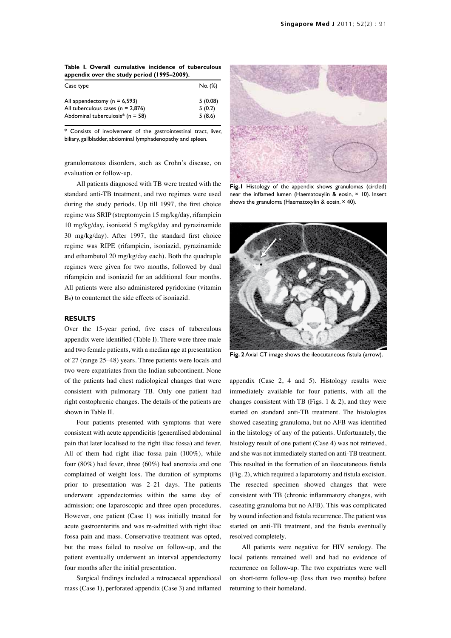**Table I. Overall cumulative incidence of tuberculous appendix over the study period (1995–2009).**

| Case type                                        | No. (%) |
|--------------------------------------------------|---------|
| All appendectomy ( $n = 6,593$ )                 | 5(0.08) |
| All tuberculous cases ( $n = 2,876$ )            | 5(0.2)  |
| Abdominal tuberculosis <sup>*</sup> ( $n = 58$ ) | 5(8.6)  |

Consists of involvement of the gastrointestinal tract, liver, biliary, gallbladder, abdominal lymphadenopathy and spleen.

granulomatous disorders, such as Crohn's disease, on evaluation or follow-up.

All patients diagnosed with TB were treated with the standard anti-TB treatment, and two regimes were used during the study periods. Up till 1997, the first choice regime was SRIP (streptomycin 15 mg/kg/day, rifampicin 10 mg/kg/day, isoniazid 5 mg/kg/day and pyrazinamide 30 mg/kg/day). After 1997, the standard first choice regime was RIPE (rifampicin, isoniazid, pyrazinamide and ethambutol 20 mg/kg/day each). Both the quadruple regimes were given for two months, followed by dual rifampicin and isoniazid for an additional four months. All patients were also administered pyridoxine (vitamin  $B<sub>6</sub>$ ) to counteract the side effects of isoniazid.

#### **RESULTS**

Over the 15-year period, five cases of tuberculous appendix were identified (Table I). There were three male and two female patients, with a median age at presentation of 27 (range 25–48) years. Three patients were locals and two were expatriates from the Indian subcontinent. None of the patients had chest radiological changes that were consistent with pulmonary TB. Only one patient had right costophrenic changes. The details of the patients are shown in Table II.

Four patients presented with symptoms that were consistent with acute appendicitis (generalised abdominal pain that later localised to the right iliac fossa) and fever. All of them had right iliac fossa pain (100%), while four (80%) had fever, three (60%) had anorexia and one complained of weight loss. The duration of symptoms prior to presentation was 2–21 days. The patients underwent appendectomies within the same day of admission; one laparoscopic and three open procedures. However, one patient (Case 1) was initially treated for acute gastroenteritis and was re-admitted with right iliac fossa pain and mass. Conservative treatment was opted, but the mass failed to resolve on follow-up, and the patient eventually underwent an interval appendectomy four months after the initial presentation.

Surgical findings included a retrocaecal appendiceal mass (Case 1), perforated appendix (Case 3) and inflamed



**Fig.1** Histology of the appendix shows granulomas (circled) near the inflamed lumen (Haematoxylin & eosin, × 10). Insert shows the granuloma (Haematoxylin & eosin, × 40).



**Fig. 2** Axial CT image shows the ileocutaneous fistula (arrow).

appendix (Case 2, 4 and 5). Histology results were immediately available for four patients, with all the changes consistent with TB (Figs. 1  $\&$  2), and they were started on standard anti-TB treatment. The histologies showed caseating granuloma, but no AFB was identified in the histology of any of the patients. Unfortunately, the histology result of one patient (Case 4) was not retrieved, and she was not immediately started on anti-TB treatment. This resulted in the formation of an ileocutaneous fistula (Fig. 2), which required a laparotomy and fistula excision. The resected specimen showed changes that were consistent with TB (chronic inflammatory changes, with caseating granuloma but no AFB). This was complicated by wound infection and fistula recurrence. The patient was started on anti-TB treatment, and the fistula eventually resolved completely.

All patients were negative for HIV serology. The local patients remained well and had no evidence of recurrence on follow-up. The two expatriates were well on short-term follow-up (less than two months) before returning to their homeland.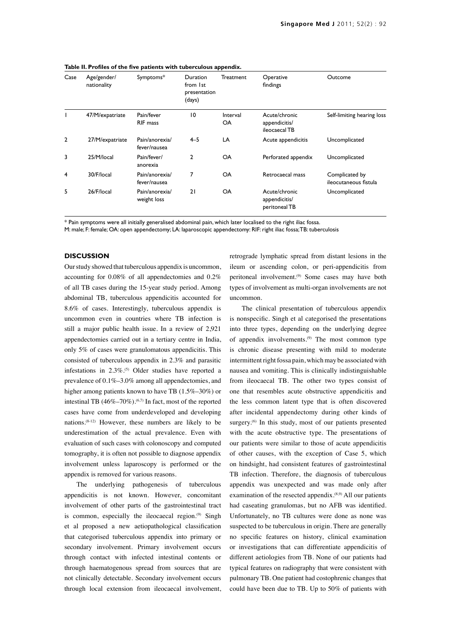| Case           | Age/gender/<br>nationality | Symptoms*                      | Duration<br>from 1st<br>presentation<br>(days) | Treatment             | Operative<br>findings                           | Outcome                                 |
|----------------|----------------------------|--------------------------------|------------------------------------------------|-----------------------|-------------------------------------------------|-----------------------------------------|
|                | 47/M/expatriate            | Pain/fever<br><b>RIF</b> mass  | 10                                             | Interval<br><b>OA</b> | Acute/chronic<br>appendicitis/<br>ileocaecal TB | Self-limiting hearing loss              |
| $\overline{2}$ | 27/M/expatriate            | Pain/anorexia/<br>fever/nausea | $4 - 5$                                        | LA                    | Acute appendicitis                              | Uncomplicated                           |
| 3              | 25/M/local                 | Pain/fever/<br>anorexia        | $\mathbf{c}$                                   | OA                    | Perforated appendix                             | Uncomplicated                           |
| 4              | 30/F/local                 | Pain/anorexia/<br>fever/nausea | 7                                              | <b>OA</b>             | Retrocaecal mass                                | Complicated by<br>ileocutaneous fistula |
| 5              | 26/F/local                 | Pain/anorexia/<br>weight loss  | 21                                             | OA                    | Acute/chronic<br>appendicitis/<br>peritoneal TB | Uncomplicated                           |

**Table II. Profiles of the five patients with tuberculous appendix.**

\* Pain symptoms were all initially generalised abdominal pain, which later localised to the right iliac fossa.

M: male; F: female; OA: open appendectomy; LA: laparoscopic appendectomy: RIF: right iliac fossa; TB: tuberculosis

#### **DISCUSSION**

Our study showed that tuberculous appendix is uncommon, accounting for 0.08% of all appendectomies and 0.2% of all TB cases during the 15-year study period. Among abdominal TB, tuberculous appendicitis accounted for 8.6% of cases. Interestingly, tuberculous appendix is uncommon even in countries where TB infection is still a major public health issue. In a review of 2,921 appendectomies carried out in a tertiary centre in India, only 5% of cases were granulomatous appendicitis. This consisted of tuberculous appendix in 2.3% and parasitic infestations in  $2.3\%$ .<sup>(5)</sup> Older studies have reported a prevalence of 0.1%–3.0% among all appendectomies, and higher among patients known to have TB (1.5%–30%) or intestinal TB  $(46\% - 70\%)$ .<sup> $(6,7)$ </sup> In fact, most of the reported cases have come from underdeveloped and developing nations. $(8-12)$  However, these numbers are likely to be underestimation of the actual prevalence. Even with evaluation of such cases with colonoscopy and computed tomography, it is often not possible to diagnose appendix involvement unless laparoscopy is performed or the appendix is removed for various reasons.

The underlying pathogenesis of tuberculous appendicitis is not known. However, concomitant involvement of other parts of the gastrointestinal tract is common, especially the ileocaecal region.<sup>(9)</sup> Singh et al proposed a new aetiopathological classification that categorised tuberculous appendix into primary or secondary involvement. Primary involvement occurs through contact with infected intestinal contents or through haematogenous spread from sources that are not clinically detectable. Secondary involvement occurs through local extension from ileocaecal involvement,

retrograde lymphatic spread from distant lesions in the ileum or ascending colon, or peri-appendicitis from peritoneal involvement.<sup>(9)</sup> Some cases may have both types of involvement as multi-organ involvements are not uncommon.

The clinical presentation of tuberculous appendix is nonspecific. Singh et al categorised the presentations into three types, depending on the underlying degree of appendix involvements.(9) The most common type is chronic disease presenting with mild to moderate intermittent right fossa pain, which may be associated with nausea and vomiting. This is clinically indistinguishable from ileocaecal TB. The other two types consist of one that resembles acute obstructive appendicitis and the less common latent type that is often discovered after incidental appendectomy during other kinds of surgery.<sup>(6)</sup> In this study, most of our patients presented with the acute obstructive type. The presentations of our patients were similar to those of acute appendicitis of other causes, with the exception of Case 5, which on hindsight, had consistent features of gastrointestinal TB infection. Therefore, the diagnosis of tuberculous appendix was unexpected and was made only after examination of the resected appendix.<sup>(8,9)</sup> All our patients had caseating granulomas, but no AFB was identified. Unfortunately, no TB cultures were done as none was suspected to be tuberculous in origin. There are generally no specific features on history, clinical examination or investigations that can differentiate appendicitis of different aetiologies from TB. None of our patients had typical features on radiography that were consistent with pulmonary TB. One patient had costophrenic changes that could have been due to TB. Up to 50% of patients with